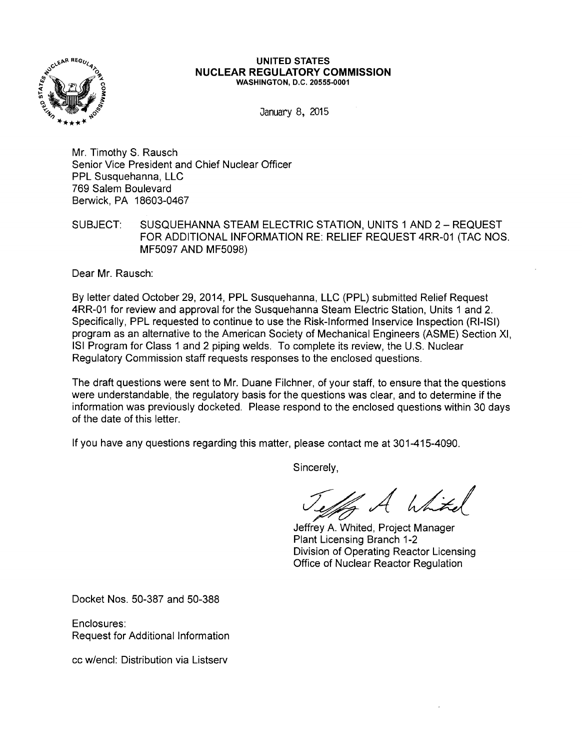

#### **UNITED STATES NUCLEAR REGULATORY COMMISSION**  WASHINGTON, D.C. 20555-0001

January 8, 2015

Mr. Timothy S. Rausch Senior Vice President and Chief Nuclear Officer PPL Susquehanna, LLC 769 Salem Boulevard Berwick, PA 18603-0467

SUBJECT: SUSQUEHANNA STEAM ELECTRIC STATION, UNITS 1 AND 2 - REQUEST FOR ADDITIONAL INFORMATION RE: RELIEF REQUEST 4RR-01 (TAC NOS. MF5097 AND MF5098)

Dear Mr. Rausch:

By letter dated October 29, 2014, PPL Susquehanna, LLC (PPL) submitted Relief Request 4RR-01 for review and approval for the Susquehanna Steam Electric Station, Units 1 and 2. Specifically, PPL requested to continue to use the Risk-Informed lnservice Inspection (RI-ISI) program as an alternative to the American Society of Mechanical Engineers (ASME) Section XI, lSI Program for Class 1 and 2 piping welds. To complete its review, the U.S. Nuclear Regulatory Commission staff requests responses to the enclosed questions.

The draft questions were sent to Mr. Duane Filchner, of your staff, to ensure that the questions were understandable, the regulatory basis for the questions was clear, and to determine if the information was previously docketed. Please respond to the enclosed questions within 30 days of the date of this letter.

If you have any questions regarding this matter, please contact me at 301-415-4090.

Sincerely,

 $h$ htel

Jeffrey A. Whited, Project Manager Plant Licensing Branch 1-2 Division of Operating Reactor Licensing Office of Nuclear Reactor Regulation

Docket Nos. 50-387 and 50-388

Enclosures: Request for Additional Information

cc w/encl: Distribution via Listserv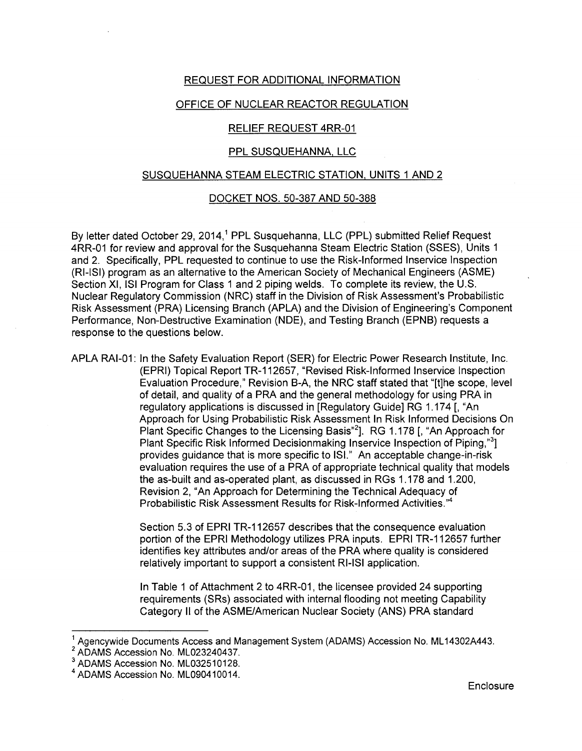## REQUEST FOR ADDITIONAL INFORMATION

## OFFICE OF NUCLEAR REACTOR REGULATION

# RELIEF REQUEST 4RR-01

# PPL SUSQUEHANNA, LLC

#### SUSQUEHANNA STEAM ELECTRIC STATION, UNITS 1 AND 2

### DOCKET NOS. 50-387 AND 50-388

By letter dated October 29, 2014,<sup>1</sup> PPL Susquehanna, LLC (PPL) submitted Relief Request 4RR-01 for review and approval for the Susquehanna Steam Electric Station (SSES), Units 1 and 2. Specifically, PPL requested to continue to use the Risk-Informed lnservice Inspection (RI-ISI) program as an alternative to the American Society of Mechanical Engineers (ASME) Section XI, lSI Program for Class 1 and 2 piping welds. To complete its review, the U.S. Nuclear Regulatory Commission (NRC) staff in the Division of Risk Assessment's Probabilistic Risk Assessment (PRA) Licensing Branch (APLA) and the Division of Engineering's Component Performance, Non-Destructive Examination (NDE), and Testing Branch (EPNB) requests a response to the questions below.

APLA RAI-01: In the Safety Evaluation Report (SER) for Electric Power Research Institute, Inc. (EPRI) Topical Report TR-112657, "Revised Risk-Informed lnservice Inspection Evaluation Procedure," Revision B-A, the NRC staff stated that "[t]he scope, level of detail, and quality of a PRA and the general methodology for using PRA in regulatory applications is discussed in [Regulatory Guide] RG 1.174 [, "An Approach for Using Probabilistic Risk Assessment In Risk Informed Decisions On Plant Specific Changes to the Licensing Basis"<sup>2</sup>]. RG 1.178 [, "An Approach for Plant Specific Risk Informed Decisionmaking Inservice Inspection of Piping,"<sup>3</sup>] provides guidance that is more specific to lSI." An acceptable change-in-risk evaluation requires the use of a PRA of appropriate technical quality that models the as-built and as-operated plant, as discussed in RGs 1.178 and 1.200, Revision 2, "An Approach for Determining the Technical Adequacy of Probabilistic Risk Assessment Results for Risk-Informed Activities."<sup>4</sup>

> Section 5.3 of EPRI TR-112657 describes that the consequence evaluation portion of the EPRI Methodology utilizes PRA inputs. EPRI TR-112657 further identifies key attributes and/or areas of the PRA where quality is considered relatively important to support a consistent RI-ISI application.

In Table 1 of Attachment 2 to 4RR-01, the licensee provided 24 supporting requirements (SRs) associated with internal flooding not meeting Capability Category II of the ASME/American Nuclear Society (ANS) PRA standard

 $2$  ADAMS Accession No. ML023240437.

Agencywide Documents Access and Management System (ADAMS) Accession No. ML14302A443.

<sup>&</sup>lt;sup>3</sup> ADAMS Accession No. ML032510128.

<sup>&</sup>lt;sup>4</sup> ADAMS Accession No. ML090410014.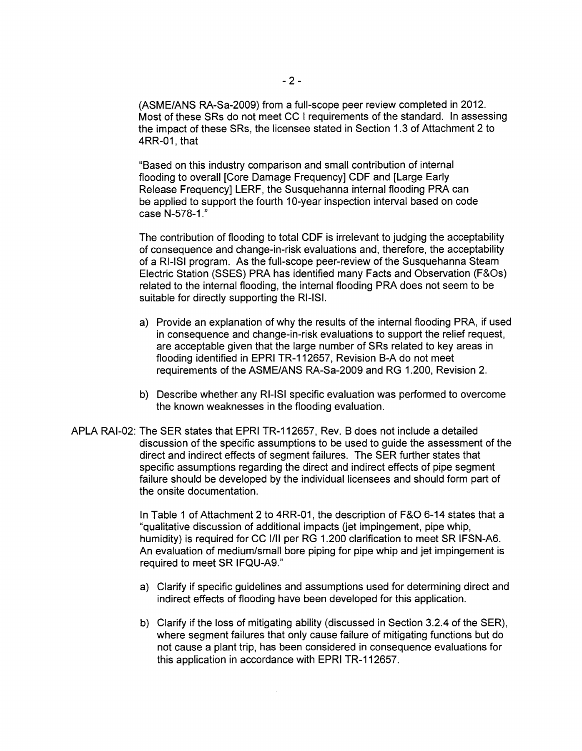(ASME/ANS RA-Sa-2009) from a full-scope peer review completed in 2012. Most of these SRs do not meet CC I requirements of the standard. In assessing the impact of these SRs, the licensee stated in Section 1.3 of Attachment 2 to 4RR-01, that

"Based on this industry comparison and small contribution of internal flooding to overall [Core Damage Frequency] CDF and [Large Early Release Frequency] LERF, the Susquehanna internal flooding PRA can be applied to support the fourth 10-year inspection interval based on code case N-578-1."

The contribution of flooding to total CDF is irrelevant to judging the acceptability of consequence and change-in-risk evaluations and, therefore, the acceptability of a RI-ISI program. As the full-scope peer-review of the Susquehanna Steam Electric Station (SSES) PRA has identified many Facts and Observation (F&Os) related to the internal flooding, the internal flooding PRA does not seem to be suitable for directly supporting the RI-ISI.

- a) Provide an explanation of why the results of the internal flooding PRA, if used in consequence and change-in-risk evaluations to support the relief request, are acceptable given that the large number of SRs related to key areas in flooding identified in EPRI TR-112657, Revision B-A do not meet requirements of the ASME/ANS RA-Sa-2009 and RG 1.200, Revision 2.
- b) Describe whether any RI-ISI specific evaluation was performed to overcome the known weaknesses in the flooding evaluation.
- APLA RAI-02: The SER states that EPRI TR-112657, Rev. B does not include a detailed discussion of the specific assumptions to be used to guide the assessment of the direct and indirect effects of segment failures. The SER further states that specific assumptions regarding the direct and indirect effects of pipe segment failure should be developed by the individual licensees and should form part of the onsite documentation.

In Table 1 of Attachment 2 to 4RR-01, the description of F&O 6-14 states that a "qualitative discussion of additional impacts (jet impingement, pipe whip, humidity) is required for CC I/II per RG 1.200 clarification to meet SR IFSN-A6. An evaluation of medium/small bore piping for pipe whip and jet impingement is required to meet SR IFQU-A9."

- a) Clarify if specific guidelines and assumptions used for determining direct and indirect effects of flooding have been developed for this application.
- b) Clarify if the loss of mitigating ability (discussed in Section 3.2.4 of the SER), where segment failures that only cause failure of mitigating functions but do not cause a plant trip, has been considered in consequence evaluations for this application in accordance with EPRI TR-112657.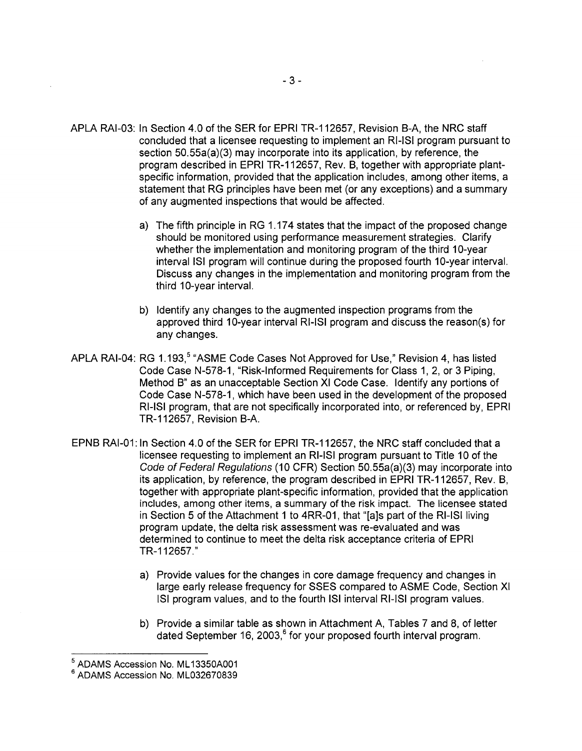- APLA RAI-03: In Section 4.0 of the SER for EPRI TR-112657, Revision 8-A, the NRC staff concluded that a licensee requesting to implement an RI-ISI program pursuant to section 50.55a(a)(3) may incorporate into its application, by reference, the program described in EPRI TR-112657, Rev. 8, together with appropriate plantspecific information, provided that the application includes, among other items, a statement that RG principles have been met (or any exceptions) and a summary of any augmented inspections that would be affected.
	- a) The fifth principle in RG 1.174 states that the impact of the proposed change should be monitored using performance measurement strategies. Clarify whether the implementation and monitoring program of the third 10-year interval ISI program will continue during the proposed fourth 10-year interval. Discuss any changes in the implementation and monitoring program from the third 10-year interval.
	- b) Identify any changes to the augmented inspection programs from the approved third 10-year interval RI-ISI program and discuss the reason(s) for any changes.
- APLA RAI-04: RG 1.193,<sup>5</sup> "ASME Code Cases Not Approved for Use," Revision 4, has listed Code Case N-578-1, "Risk-Informed Requirements for Class 1, 2, or 3 Piping, Method 8" as an unacceptable Section XI Code Case. Identify any portions of Code Case N-578-1 , which have been used in the development of the proposed RI-ISI program, that are not specifically incorporated into, or referenced by, EPRI TR-112657, Revision 8-A.
- EPN8 RAI-01: In Section 4.0 of the SER for EPRI TR-112657, the NRC staff concluded that a licensee requesting to implement an RI-ISI program pursuant to Title 10 of the Code of Federal Regulations (10 CFR) Section 50.55a(a)(3) may incorporate into its application, by reference, the program described in EPRI TR-112657, Rev. 8, together with appropriate plant-specific information, provided that the application includes, among other items, a summary of the risk impact. The licensee stated in Section 5 of the Attachment 1 to 4RR-01, that "[a]s part of the RI-ISI living program update, the delta risk assessment was re-evaluated and was determined to continue to meet the delta risk acceptance criteria of EPRI TR-112657."
	- a) Provide values for the changes in core damage frequency and changes in large early release frequency for SSES compared to ASME Code, Section XI lSI program values, and to the fourth lSI interval RI-ISI program values.
	- b) Provide a similar table as shown in Attachment A, Tables 7 and 8, of letter dated September 16, 2003,<sup>6</sup> for your proposed fourth interval program.

 $<sup>5</sup>$  ADAMS Accession No. ML13350A001<br> $<sup>6</sup>$  ADAMS Accession No. ML032670839</sup></sup>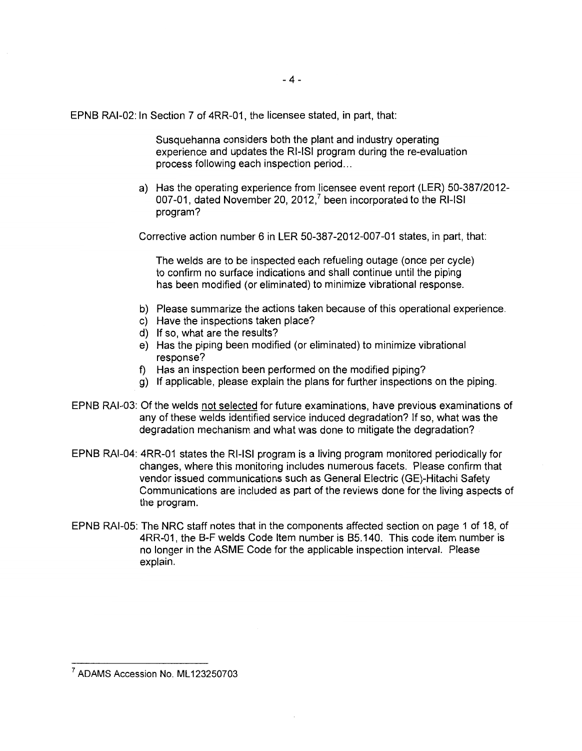EPN8 RAI-02: In Section 7 of 4RR-01, the licensee stated, in part, that:

Susquehanna considers both the plant and industry operating experience and updates the RI-ISI program during the re-evaluation process following each inspection period ...

a) Has the operating experience from licensee event report (LER) 50-387/2012- 007-01, dated November 20, 2012,<sup>7</sup> been incorporated to the RI-ISI program?

Corrective action number 6 in LER 50-387-2012-007-01 states, in part, that:

The welds are to be inspected each refueling outage (once per cycle) to confirm no surface indications and shall continue until the piping has been modified (or eliminated) to minimize vibrational response.

- b) Please summarize the actions taken because of this operational experience.
- c) Have the inspections taken place?
- d) If so, what are the results?
- e) Has the piping been modified (or eliminated) to minimize vibrational response?
- f) Has an inspection been performed on the modified piping?
- g) If applicable, please explain the plans for further inspections on the piping.
- EPN8 RAI-03: Of the welds not selected for future examinations, have previous examinations of any of these welds identified service induced degradation? If so, what was the degradation mechanism and what was done to mitigate the degradation?
- EPN8 RAI-04: 4RR-01 states the RI-ISI program is a living program monitored periodically for changes, where this monitoring includes numerous facets. Please confirm that vendor issued communications such as General Electric (GE)-Hitachi Safety Communications are included as part of the reviews done for the living aspects of the program.
- EPN8 RAI-05: The NRC staff notes that in the components affected section on page 1 of 18, of 4RR-01, the 8-F welds Code Item number is 85.140. This code item number is no longer in the ASME Code for the applicable inspection interval. Please explain.

<sup>&</sup>lt;sup>7</sup> ADAMS Accession No. ML123250703